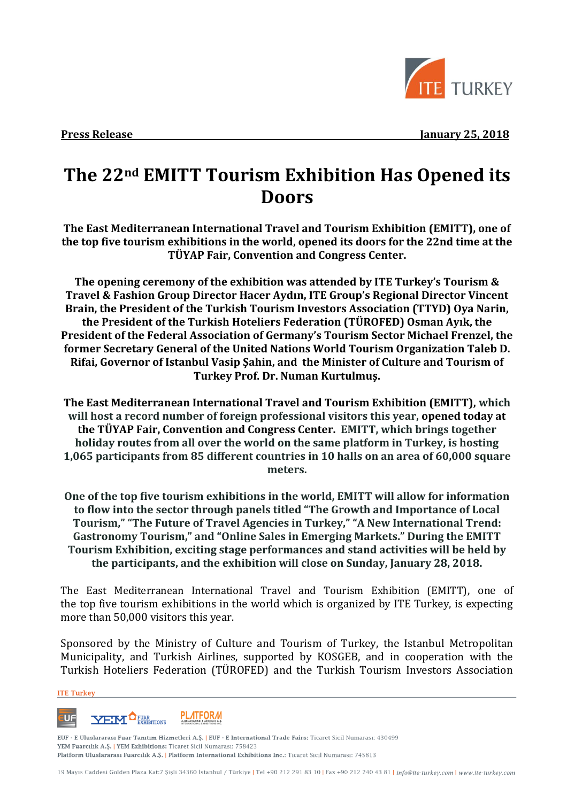

**Press Release** January 25, 2018

# **The 22nd EMITT Tourism Exhibition Has Opened its Doors**

**The East Mediterranean International Travel and Tourism Exhibition (EMITT), one of the top five tourism exhibitions in the world, opened its doors for the 22nd time at the TÜYAP Fair, Convention and Congress Center.** 

**The opening ceremony of the exhibition was attended by ITE Turkey's Tourism & Travel & Fashion Group Director Hacer Aydın, ITE Group's Regional Director Vincent Brain, the President of the Turkish Tourism Investors Association (TTYD) Oya Narin, the President of the Turkish Hoteliers Federation (TÜROFED) Osman Ayık, the President of the Federal Association of Germany's Tourism Sector Michael Frenzel, the former Secretary General of the United Nations World Tourism Organization Taleb D. Rifai, Governor of Istanbul Vasip Şahin, and the Minister of Culture and Tourism of Turkey Prof. Dr. Numan Kurtulmuş.** 

**The East Mediterranean International Travel and Tourism Exhibition (EMITT), which will host a record number of foreign professional visitors this year, opened today at the TÜYAP Fair, Convention and Congress Center. EMITT, which brings together holiday routes from all over the world on the same platform in Turkey, is hosting 1,065 participants from 85 different countries in 10 halls on an area of 60,000 square meters.**

**One of the top five tourism exhibitions in the world, EMITT will allow for information to flow into the sector through panels titled "The Growth and Importance of Local Tourism," "The Future of Travel Agencies in Turkey," "A New International Trend: Gastronomy Tourism," and "Online Sales in Emerging Markets." During the EMITT Tourism Exhibition, exciting stage performances and stand activities will be held by the participants, and the exhibition will close on Sunday, January 28, 2018.**

The East Mediterranean International Travel and Tourism Exhibition (EMITT), one of the top five tourism exhibitions in the world which is organized by ITE Turkey, is expecting more than 50,000 visitors this year.

Sponsored by the Ministry of Culture and Tourism of Turkey, the Istanbul Metropolitan Municipality, and Turkish Airlines, supported by KOSGEB, and in cooperation with the Turkish Hoteliers Federation (TÜROFED) and the Turkish Tourism Investors Association

#### **ITE Turkey**



EUF - E Uluslararası Fuar Tanıtım Hizmetleri A.Ş. | EUF - E International Trade Fairs: Ticaret Sicil Numarası: 430499 YEM Fuarcılık A.Ş. | YEM Exhibitions: Ticaret Sicil Numarası: 758423 Platform Uluslararası Fuarcılık A.Ş. | Platform International Exhibitions Inc.: Ticaret Sicil Numarası: 745813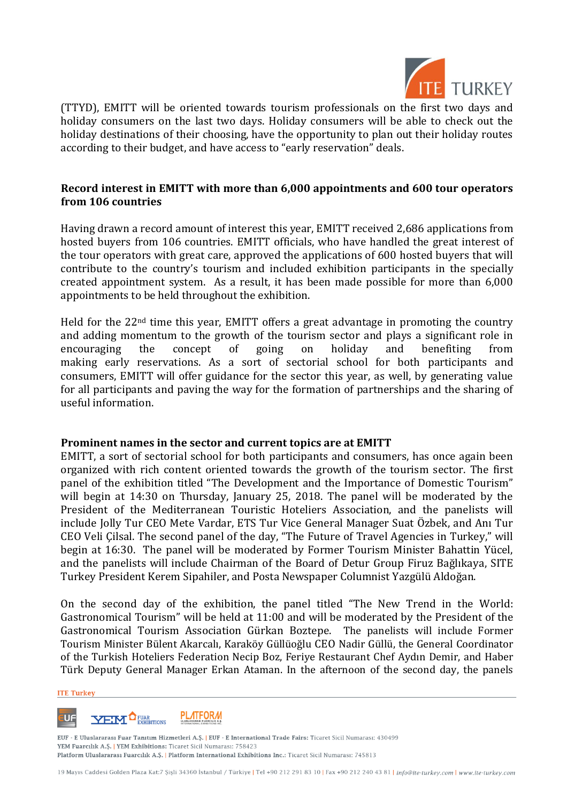

(TTYD), EMITT will be oriented towards tourism professionals on the first two days and holiday consumers on the last two days. Holiday consumers will be able to check out the holiday destinations of their choosing, have the opportunity to plan out their holiday routes according to their budget, and have access to "early reservation" deals.

## **Record interest in EMITT with more than 6,000 appointments and 600 tour operators from 106 countries**

Having drawn a record amount of interest this year, EMITT received 2,686 applications from hosted buyers from 106 countries. EMITT officials, who have handled the great interest of the tour operators with great care, approved the applications of 600 hosted buyers that will contribute to the country's tourism and included exhibition participants in the specially created appointment system. As a result, it has been made possible for more than 6,000 appointments to be held throughout the exhibition.

Held for the 22<sup>nd</sup> time this year, EMITT offers a great advantage in promoting the country and adding momentum to the growth of the tourism sector and plays a significant role in encouraging the concept of going on holiday and benefiting from making early reservations. As a sort of sectorial school for both participants and consumers, EMITT will offer guidance for the sector this year, as well, by generating value for all participants and paving the way for the formation of partnerships and the sharing of useful information.

## **Prominent names in the sector and current topics are at EMITT**

EMITT, a sort of sectorial school for both participants and consumers, has once again been organized with rich content oriented towards the growth of the tourism sector. The first panel of the exhibition titled "The Development and the Importance of Domestic Tourism" will begin at 14:30 on Thursday, January 25, 2018. The panel will be moderated by the President of the Mediterranean Touristic Hoteliers Association, and the panelists will include Jolly Tur CEO Mete Vardar, ETS Tur Vice General Manager Suat Özbek, and Anı Tur CEO Veli Çilsal. The second panel of the day, "The Future of Travel Agencies in Turkey," will begin at 16:30. The panel will be moderated by Former Tourism Minister Bahattin Yücel, and the panelists will include Chairman of the Board of Detur Group Firuz Bağlıkaya, SITE Turkey President Kerem Sipahiler, and Posta Newspaper Columnist Yazgülü Aldoğan.

On the second day of the exhibition, the panel titled "The New Trend in the World: Gastronomical Tourism" will be held at 11:00 and will be moderated by the President of the Gastronomical Tourism Association Gürkan Boztepe. The panelists will include Former Tourism Minister Bülent Akarcalı, Karaköy Güllüoğlu CEO Nadir Güllü, the General Coordinator of the Turkish Hoteliers Federation Necip Boz, Feriye Restaurant Chef Aydın Demir, and Haber Türk Deputy General Manager Erkan Ataman. In the afternoon of the second day, the panels

#### **ITE Turkey**



EUF - E Uluslararası Fuar Tanıtım Hizmetleri A.Ş. | EUF - E International Trade Fairs: Ticaret Sicil Numarası: 430499 YEM Fuarcılık A.Ş. | YEM Exhibitions: Ticaret Sicil Numarası: 758423 Platform Uluslararası Fuarcılık A.Ş. | Platform International Exhibitions Inc.: Ticaret Sicil Numarası: 745813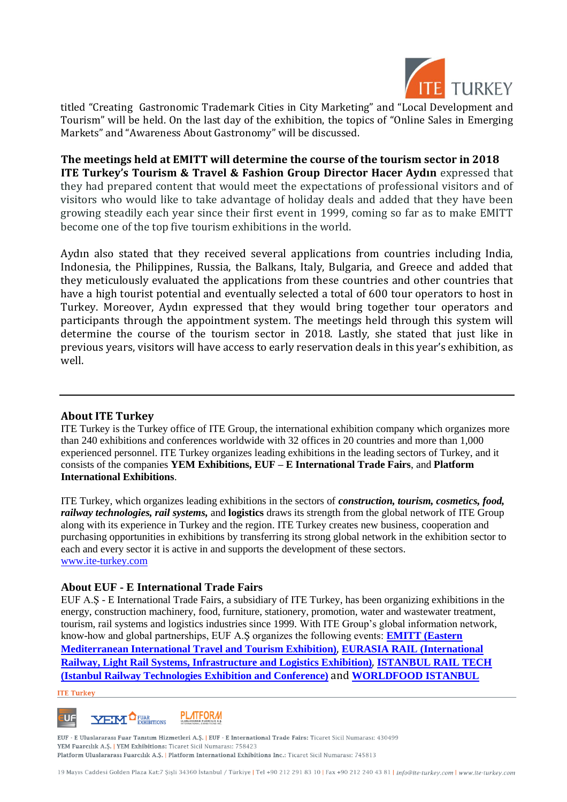

titled "Creating Gastronomic Trademark Cities in City Marketing" and "Local Development and Tourism" will be held. On the last day of the exhibition, the topics of "Online Sales in Emerging Markets" and "Awareness About Gastronomy" will be discussed.

#### **The meetings held at EMITT will determine the course of the tourism sector in 2018 ITE Turkey's Tourism & Travel & Fashion Group Director Hacer Aydın** expressed that

they had prepared content that would meet the expectations of professional visitors and of visitors who would like to take advantage of holiday deals and added that they have been growing steadily each year since their first event in 1999, coming so far as to make EMITT become one of the top five tourism exhibitions in the world.

Aydın also stated that they received several applications from countries including India, Indonesia, the Philippines, Russia, the Balkans, Italy, Bulgaria, and Greece and added that they meticulously evaluated the applications from these countries and other countries that have a high tourist potential and eventually selected a total of 600 tour operators to host in Turkey. Moreover, Aydın expressed that they would bring together tour operators and participants through the appointment system. The meetings held through this system will determine the course of the tourism sector in 2018. Lastly, she stated that just like in previous years, visitors will have access to early reservation deals in this year's exhibition, as well.

## **About ITE Turkey**

ITE Turkey is the Turkey office of ITE Group, the international exhibition company which organizes more than 240 exhibitions and conferences worldwide with 32 offices in 20 countries and more than 1,000 experienced personnel. ITE Turkey organizes leading exhibitions in the leading sectors of Turkey, and it consists of the companies **YEM Exhibitions, EUF – E International Trade Fairs**, and **Platform International Exhibitions**.

ITE Turkey, which organizes leading exhibitions in the sectors of *construction, tourism, cosmetics, food, railway technologies, rail systems,* and **logistics** draws its strength from the global network of ITE Group along with its experience in Turkey and the region. ITE Turkey creates new business, cooperation and purchasing opportunities in exhibitions by transferring its strong global network in the exhibition sector to each and every sector it is active in and supports the development of these sectors. [www.ite-turkey.com](http://ite-turkey.com/ver3/)

## **About EUF - E International Trade Fairs**

EUF A.Ş - E International Trade Fairs, a subsidiary of ITE Turkey, has been organizing exhibitions in the energy, construction machinery, food, furniture, stationery, promotion, water and wastewater treatment, tourism, rail systems and logistics industries since 1999. With ITE Group's global information network, know-how and global partnerships, EUF A.Ş organizes the following events: **[EMITT \(Eastern](http://emittistanbul.com/ana-sayfa)  [Mediterranean International Travel and Tourism Exhibition\)](http://emittistanbul.com/ana-sayfa)**, **[EURASIA RAIL \(International](http://eurasiarail.eu/Home)  [Railway, Light Rail Systems, Infrastructure and Logistics Exhibition\)](http://eurasiarail.eu/Home)**, **[ISTANBUL RAIL TECH](http://www.istanbulrailtech.com/Home)  [\(Istanbul Railway Technologies Exhibition and Conference\)](http://www.istanbulrailtech.com/Home)** and **[WORLDFOOD ISTANBUL](http://www.worldfood-istanbul.com/Ana-Sayfa)** 

### **ITE Turkey**



EUF - E Uluslararası Fuar Tanıtım Hizmetleri A.Ş. | EUF - E International Trade Fairs: Ticaret Sicil Numarası: 430499 YEM Fuarcılık A.Ş. | YEM Exhibitions: Ticaret Sicil Numarası: 758423 Platform Uluslararası Fuarcılık A.Ş. | Platform International Exhibitions Inc.: Ticaret Sicil Numarası: 745813